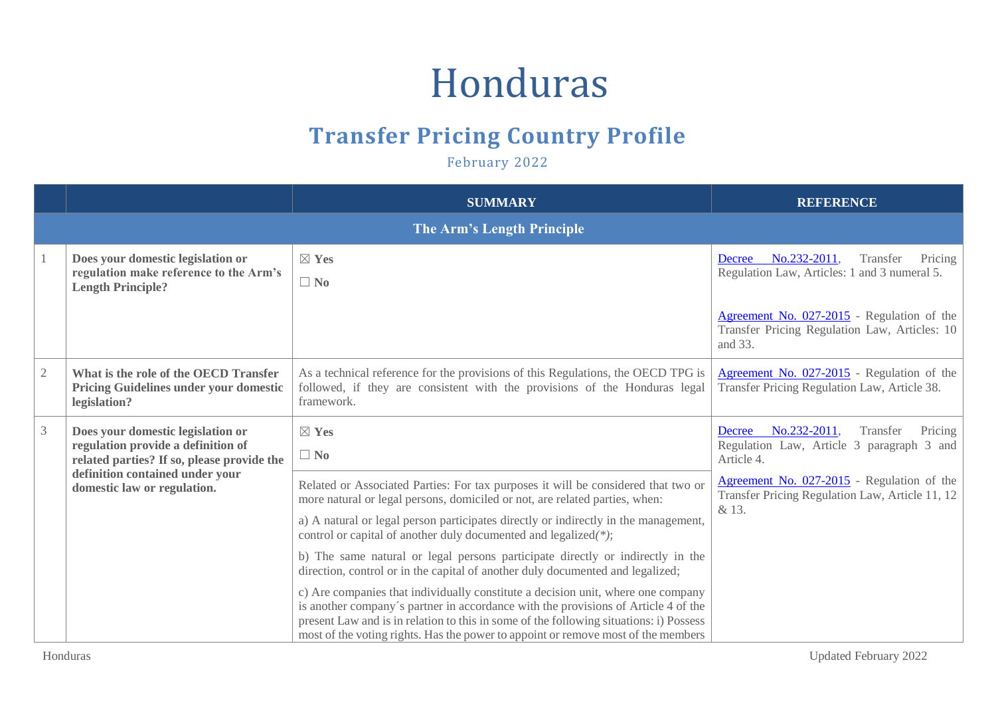## Honduras

## **Transfer Pricing Country Profile**

February 2022

|                |                                                                                                                                                                                         | <b>SUMMARY</b>                                                                                                                                                                                                                                                                                                                                        | <b>REFERENCE</b>                                                                                         |
|----------------|-----------------------------------------------------------------------------------------------------------------------------------------------------------------------------------------|-------------------------------------------------------------------------------------------------------------------------------------------------------------------------------------------------------------------------------------------------------------------------------------------------------------------------------------------------------|----------------------------------------------------------------------------------------------------------|
|                |                                                                                                                                                                                         | The Arm's Length Principle                                                                                                                                                                                                                                                                                                                            |                                                                                                          |
|                | Does your domestic legislation or<br>regulation make reference to the Arm's<br><b>Length Principle?</b>                                                                                 | $\boxtimes$ Yes<br>$\Box$ No                                                                                                                                                                                                                                                                                                                          | No.232-2011,<br>Transfer<br>Pricing<br>Decree<br>Regulation Law, Articles: 1 and 3 numeral 5.            |
|                |                                                                                                                                                                                         |                                                                                                                                                                                                                                                                                                                                                       | Agreement No. 027-2015 - Regulation of the<br>Transfer Pricing Regulation Law, Articles: 10<br>and 33.   |
| $\overline{2}$ | What is the role of the OECD Transfer<br><b>Pricing Guidelines under your domestic</b><br>legislation?                                                                                  | As a technical reference for the provisions of this Regulations, the OECD TPG is<br>followed, if they are consistent with the provisions of the Honduras legal<br>framework.                                                                                                                                                                          | Agreement No. 027-2015 - Regulation of the<br>Transfer Pricing Regulation Law, Article 38.               |
| $\mathfrak{Z}$ | Does your domestic legislation or<br>regulation provide a definition of<br>related parties? If so, please provide the<br>definition contained under your<br>domestic law or regulation. | $\boxtimes$ Yes<br>$\Box$ No                                                                                                                                                                                                                                                                                                                          | No.232-2011,<br>Transfer<br>Pricing<br>Decree<br>Regulation Law, Article 3 paragraph 3 and<br>Article 4. |
|                |                                                                                                                                                                                         | Related or Associated Parties: For tax purposes it will be considered that two or<br>more natural or legal persons, domiciled or not, are related parties, when:                                                                                                                                                                                      | Agreement No. 027-2015 - Regulation of the<br>Transfer Pricing Regulation Law, Article 11, 12<br>& 13.   |
|                |                                                                                                                                                                                         | a) A natural or legal person participates directly or indirectly in the management,<br>control or capital of another duly documented and legalized(*);                                                                                                                                                                                                |                                                                                                          |
|                |                                                                                                                                                                                         | b) The same natural or legal persons participate directly or indirectly in the<br>direction, control or in the capital of another duly documented and legalized;                                                                                                                                                                                      |                                                                                                          |
|                |                                                                                                                                                                                         | c) Are companies that individually constitute a decision unit, where one company<br>is another company's partner in accordance with the provisions of Article 4 of the<br>present Law and is in relation to this in some of the following situations: i) Possess<br>most of the voting rights. Has the power to appoint or remove most of the members |                                                                                                          |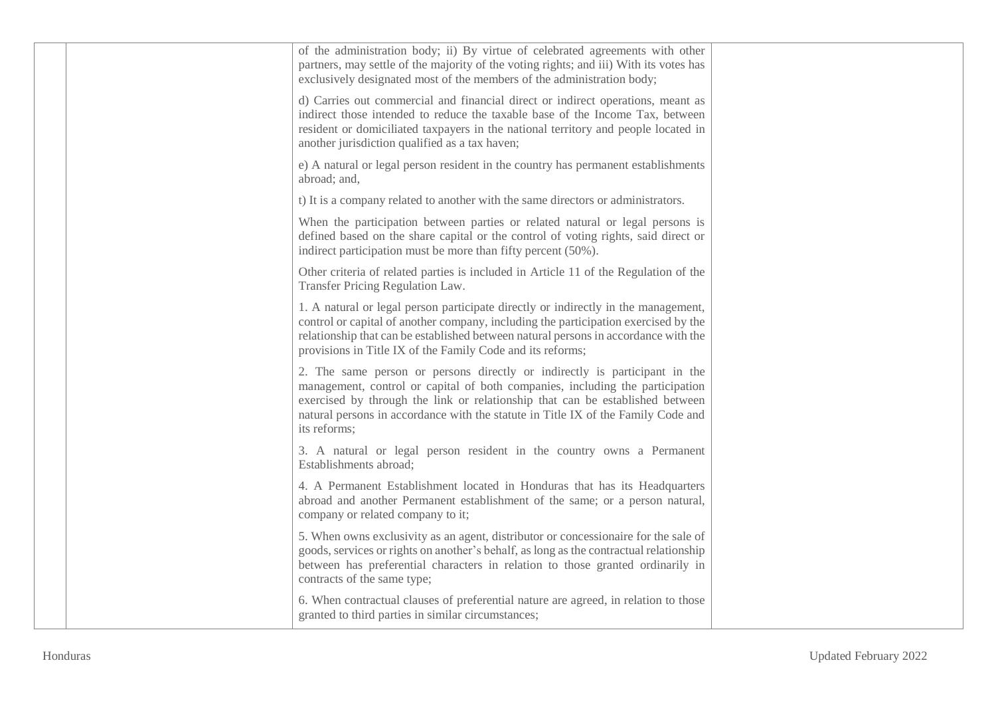| of the administration body; ii) By virtue of celebrated agreements with other<br>partners, may settle of the majority of the voting rights; and iii) With its votes has<br>exclusively designated most of the members of the administration body;                                                                                                 |  |
|---------------------------------------------------------------------------------------------------------------------------------------------------------------------------------------------------------------------------------------------------------------------------------------------------------------------------------------------------|--|
| d) Carries out commercial and financial direct or indirect operations, meant as<br>indirect those intended to reduce the taxable base of the Income Tax, between<br>resident or domiciliated taxpayers in the national territory and people located in<br>another jurisdiction qualified as a tax haven;                                          |  |
| e) A natural or legal person resident in the country has permanent establishments<br>abroad; and,                                                                                                                                                                                                                                                 |  |
| t) It is a company related to another with the same directors or administrators.                                                                                                                                                                                                                                                                  |  |
| When the participation between parties or related natural or legal persons is<br>defined based on the share capital or the control of voting rights, said direct or<br>indirect participation must be more than fifty percent (50%).                                                                                                              |  |
| Other criteria of related parties is included in Article 11 of the Regulation of the<br>Transfer Pricing Regulation Law.                                                                                                                                                                                                                          |  |
| 1. A natural or legal person participate directly or indirectly in the management,<br>control or capital of another company, including the participation exercised by the<br>relationship that can be established between natural persons in accordance with the<br>provisions in Title IX of the Family Code and its reforms;                    |  |
| 2. The same person or persons directly or indirectly is participant in the<br>management, control or capital of both companies, including the participation<br>exercised by through the link or relationship that can be established between<br>natural persons in accordance with the statute in Title IX of the Family Code and<br>its reforms; |  |
| 3. A natural or legal person resident in the country owns a Permanent<br>Establishments abroad;                                                                                                                                                                                                                                                   |  |
| 4. A Permanent Establishment located in Honduras that has its Headquarters<br>abroad and another Permanent establishment of the same; or a person natural,<br>company or related company to it;                                                                                                                                                   |  |
| 5. When owns exclusivity as an agent, distributor or concessionaire for the sale of<br>goods, services or rights on another's behalf, as long as the contractual relationship<br>between has preferential characters in relation to those granted ordinarily in<br>contracts of the same type;                                                    |  |
| 6. When contractual clauses of preferential nature are agreed, in relation to those<br>granted to third parties in similar circumstances;                                                                                                                                                                                                         |  |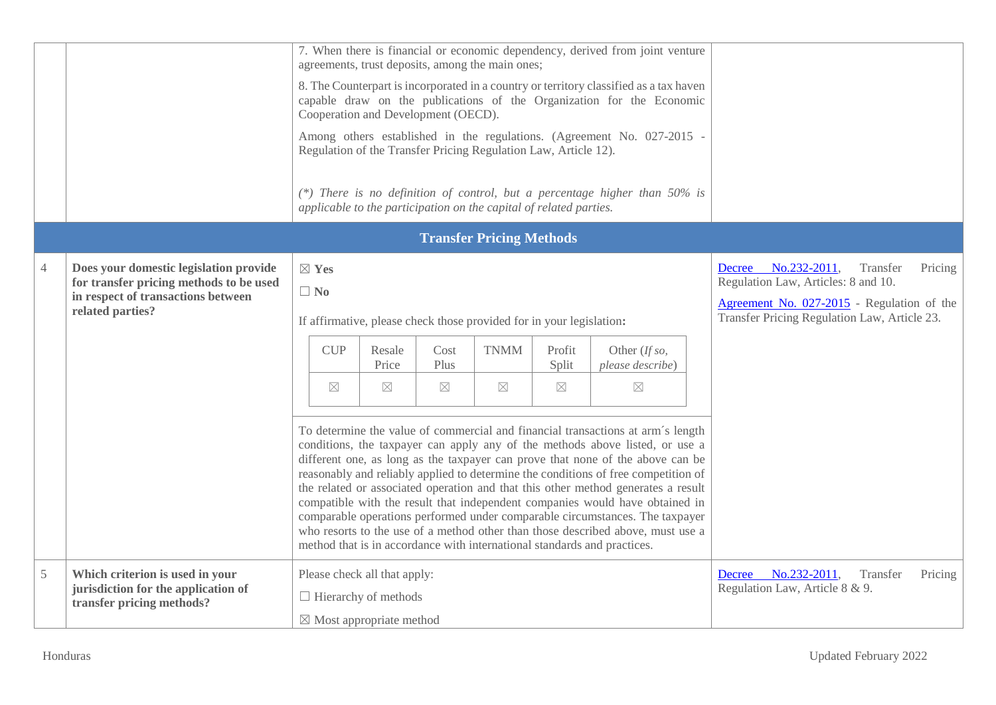|               |                                                                                                     |                                                                      |             |                                                                                                    |                                     | agreements, trust deposits, among the main ones;                   |                                              | 7. When there is financial or economic dependency, derived from joint venture                                                                                                                                                                                                                                                                                                                                                                                                                                                                                                                                                                                                                                                                               |  |                                                                                   |
|---------------|-----------------------------------------------------------------------------------------------------|----------------------------------------------------------------------|-------------|----------------------------------------------------------------------------------------------------|-------------------------------------|--------------------------------------------------------------------|----------------------------------------------|-------------------------------------------------------------------------------------------------------------------------------------------------------------------------------------------------------------------------------------------------------------------------------------------------------------------------------------------------------------------------------------------------------------------------------------------------------------------------------------------------------------------------------------------------------------------------------------------------------------------------------------------------------------------------------------------------------------------------------------------------------------|--|-----------------------------------------------------------------------------------|
|               |                                                                                                     |                                                                      |             |                                                                                                    | Cooperation and Development (OECD). |                                                                    |                                              | 8. The Counterpart is incorporated in a country or territory classified as a tax haven<br>capable draw on the publications of the Organization for the Economic                                                                                                                                                                                                                                                                                                                                                                                                                                                                                                                                                                                             |  |                                                                                   |
|               |                                                                                                     |                                                                      |             |                                                                                                    |                                     | Regulation of the Transfer Pricing Regulation Law, Article 12).    |                                              | Among others established in the regulations. (Agreement No. 027-2015 -                                                                                                                                                                                                                                                                                                                                                                                                                                                                                                                                                                                                                                                                                      |  |                                                                                   |
|               |                                                                                                     |                                                                      |             |                                                                                                    |                                     | applicable to the participation on the capital of related parties. |                                              | (*) There is no definition of control, but a percentage higher than $50\%$ is                                                                                                                                                                                                                                                                                                                                                                                                                                                                                                                                                                                                                                                                               |  |                                                                                   |
|               |                                                                                                     |                                                                      |             |                                                                                                    |                                     | <b>Transfer Pricing Methods</b>                                    |                                              |                                                                                                                                                                                                                                                                                                                                                                                                                                                                                                                                                                                                                                                                                                                                                             |  |                                                                                   |
| 4             | Does your domestic legislation provide<br>for transfer pricing methods to be used                   | $\boxtimes$ Yes                                                      |             |                                                                                                    |                                     |                                                                    |                                              |                                                                                                                                                                                                                                                                                                                                                                                                                                                                                                                                                                                                                                                                                                                                                             |  | Decree No.232-2011,<br>Transfer<br>Pricing<br>Regulation Law, Articles: 8 and 10. |
|               | in respect of transactions between<br>related parties?                                              | $\Box$ No                                                            |             |                                                                                                    |                                     |                                                                    |                                              |                                                                                                                                                                                                                                                                                                                                                                                                                                                                                                                                                                                                                                                                                                                                                             |  | Agreement No. 027-2015 - Regulation of the                                        |
|               |                                                                                                     | If affirmative, please check those provided for in your legislation: |             |                                                                                                    |                                     |                                                                    | Transfer Pricing Regulation Law, Article 23. |                                                                                                                                                                                                                                                                                                                                                                                                                                                                                                                                                                                                                                                                                                                                                             |  |                                                                                   |
|               |                                                                                                     |                                                                      | <b>CUP</b>  | Resale<br>Price                                                                                    | Cost<br>Plus                        | <b>TNMM</b>                                                        | Profit<br>Split                              | Other (If so,<br>please describe)                                                                                                                                                                                                                                                                                                                                                                                                                                                                                                                                                                                                                                                                                                                           |  |                                                                                   |
|               |                                                                                                     |                                                                      | $\boxtimes$ | $\boxtimes$                                                                                        | $\boxtimes$                         | $\boxtimes$                                                        | $\boxtimes$                                  | $\boxtimes$                                                                                                                                                                                                                                                                                                                                                                                                                                                                                                                                                                                                                                                                                                                                                 |  |                                                                                   |
|               |                                                                                                     |                                                                      |             |                                                                                                    |                                     |                                                                    |                                              | To determine the value of commercial and financial transactions at arm's length<br>conditions, the taxpayer can apply any of the methods above listed, or use a<br>different one, as long as the taxpayer can prove that none of the above can be<br>reasonably and reliably applied to determine the conditions of free competition of<br>the related or associated operation and that this other method generates a result<br>compatible with the result that independent companies would have obtained in<br>comparable operations performed under comparable circumstances. The taxpayer<br>who resorts to the use of a method other than those described above, must use a<br>method that is in accordance with international standards and practices. |  |                                                                                   |
| $\mathfrak s$ | Which criterion is used in your<br>jurisdiction for the application of<br>transfer pricing methods? |                                                                      |             | Please check all that apply:<br>$\Box$ Hierarchy of methods<br>$\boxtimes$ Most appropriate method |                                     |                                                                    |                                              |                                                                                                                                                                                                                                                                                                                                                                                                                                                                                                                                                                                                                                                                                                                                                             |  | No.232-2011,<br>Transfer<br>Pricing<br>Decree<br>Regulation Law, Article 8 & 9.   |
|               |                                                                                                     |                                                                      |             |                                                                                                    |                                     |                                                                    |                                              |                                                                                                                                                                                                                                                                                                                                                                                                                                                                                                                                                                                                                                                                                                                                                             |  |                                                                                   |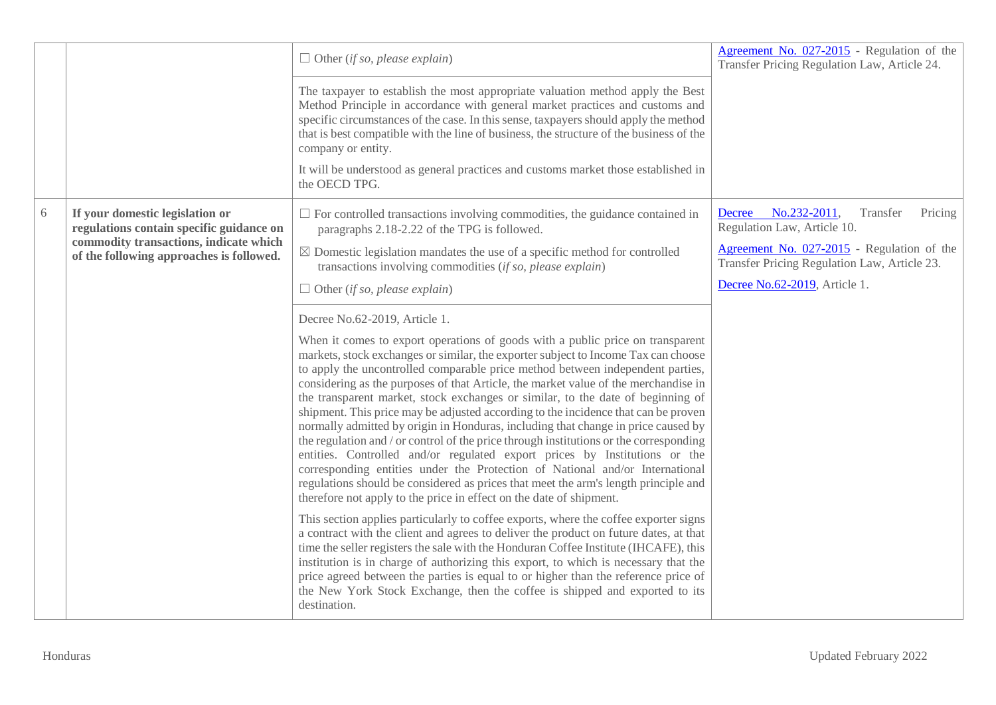|   |                                                                                    | $\Box$ Other (if so, please explain)                                                                                                                                                                                                                                                                                                                                                                                                                                                                                                                                                                                                                                                                                                                                                                                                                                                                                                                                                                                              | Agreement No. 027-2015 - Regulation of the<br>Transfer Pricing Regulation Law, Article 24. |
|---|------------------------------------------------------------------------------------|-----------------------------------------------------------------------------------------------------------------------------------------------------------------------------------------------------------------------------------------------------------------------------------------------------------------------------------------------------------------------------------------------------------------------------------------------------------------------------------------------------------------------------------------------------------------------------------------------------------------------------------------------------------------------------------------------------------------------------------------------------------------------------------------------------------------------------------------------------------------------------------------------------------------------------------------------------------------------------------------------------------------------------------|--------------------------------------------------------------------------------------------|
|   |                                                                                    | The taxpayer to establish the most appropriate valuation method apply the Best<br>Method Principle in accordance with general market practices and customs and<br>specific circumstances of the case. In this sense, taxpayers should apply the method<br>that is best compatible with the line of business, the structure of the business of the<br>company or entity.                                                                                                                                                                                                                                                                                                                                                                                                                                                                                                                                                                                                                                                           |                                                                                            |
|   |                                                                                    | It will be understood as general practices and customs market those established in<br>the OECD TPG.                                                                                                                                                                                                                                                                                                                                                                                                                                                                                                                                                                                                                                                                                                                                                                                                                                                                                                                               |                                                                                            |
| 6 | If your domestic legislation or<br>regulations contain specific guidance on        | $\Box$ For controlled transactions involving commodities, the guidance contained in<br>paragraphs 2.18-2.22 of the TPG is followed.                                                                                                                                                                                                                                                                                                                                                                                                                                                                                                                                                                                                                                                                                                                                                                                                                                                                                               | No.232-2011,<br>Transfer<br>Pricing<br><b>Decree</b><br>Regulation Law, Article 10.        |
|   | commodity transactions, indicate which<br>of the following approaches is followed. | $\boxtimes$ Domestic legislation mandates the use of a specific method for controlled<br>transactions involving commodities (if so, please explain)                                                                                                                                                                                                                                                                                                                                                                                                                                                                                                                                                                                                                                                                                                                                                                                                                                                                               | Agreement No. 027-2015 - Regulation of the<br>Transfer Pricing Regulation Law, Article 23. |
|   |                                                                                    | $\Box$ Other (if so, please explain)                                                                                                                                                                                                                                                                                                                                                                                                                                                                                                                                                                                                                                                                                                                                                                                                                                                                                                                                                                                              | Decree No.62-2019, Article 1.                                                              |
|   |                                                                                    | Decree No.62-2019, Article 1.                                                                                                                                                                                                                                                                                                                                                                                                                                                                                                                                                                                                                                                                                                                                                                                                                                                                                                                                                                                                     |                                                                                            |
|   |                                                                                    | When it comes to export operations of goods with a public price on transparent<br>markets, stock exchanges or similar, the exporter subject to Income Tax can choose<br>to apply the uncontrolled comparable price method between independent parties,<br>considering as the purposes of that Article, the market value of the merchandise in<br>the transparent market, stock exchanges or similar, to the date of beginning of<br>shipment. This price may be adjusted according to the incidence that can be proven<br>normally admitted by origin in Honduras, including that change in price caused by<br>the regulation and / or control of the price through institutions or the corresponding<br>entities. Controlled and/or regulated export prices by Institutions or the<br>corresponding entities under the Protection of National and/or International<br>regulations should be considered as prices that meet the arm's length principle and<br>therefore not apply to the price in effect on the date of shipment. |                                                                                            |
|   |                                                                                    | This section applies particularly to coffee exports, where the coffee exporter signs<br>a contract with the client and agrees to deliver the product on future dates, at that<br>time the seller registers the sale with the Honduran Coffee Institute (IHCAFE), this<br>institution is in charge of authorizing this export, to which is necessary that the<br>price agreed between the parties is equal to or higher than the reference price of<br>the New York Stock Exchange, then the coffee is shipped and exported to its<br>destination.                                                                                                                                                                                                                                                                                                                                                                                                                                                                                 |                                                                                            |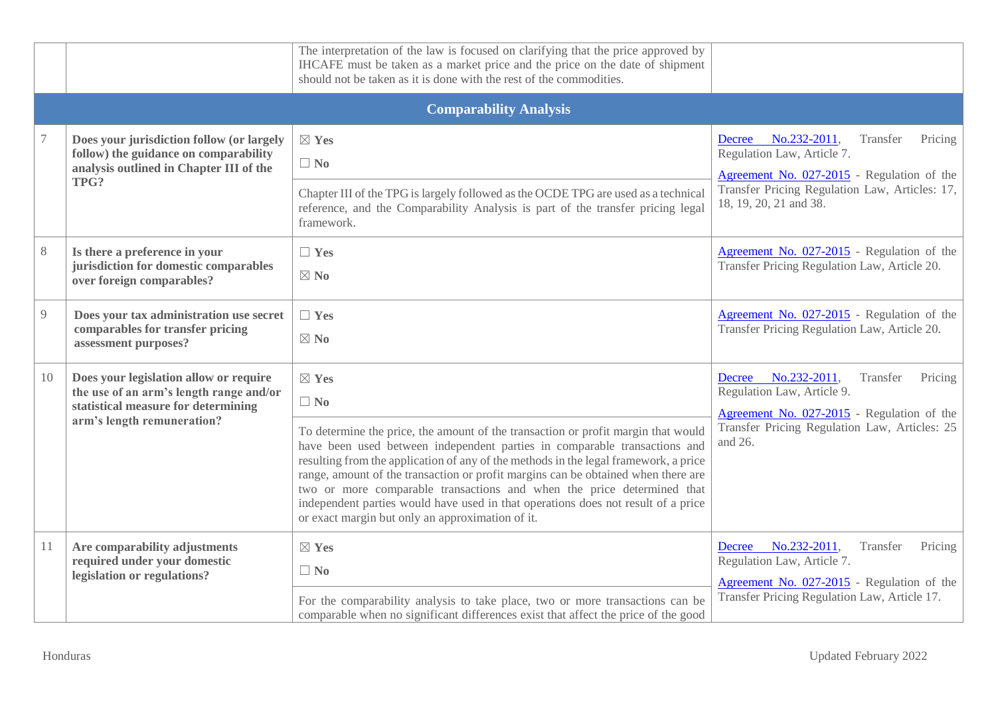|       |                                                                                                                                                        | The interpretation of the law is focused on clarifying that the price approved by<br>IHCAFE must be taken as a market price and the price on the date of shipment<br>should not be taken as it is done with the rest of the commodities.                                                                                                                                                                                                                                                                                                                                                       |                                                                                                                                                                                                    |
|-------|--------------------------------------------------------------------------------------------------------------------------------------------------------|------------------------------------------------------------------------------------------------------------------------------------------------------------------------------------------------------------------------------------------------------------------------------------------------------------------------------------------------------------------------------------------------------------------------------------------------------------------------------------------------------------------------------------------------------------------------------------------------|----------------------------------------------------------------------------------------------------------------------------------------------------------------------------------------------------|
|       |                                                                                                                                                        | <b>Comparability Analysis</b>                                                                                                                                                                                                                                                                                                                                                                                                                                                                                                                                                                  |                                                                                                                                                                                                    |
|       | Does your jurisdiction follow (or largely<br>follow) the guidance on comparability<br>analysis outlined in Chapter III of the<br>TPG?                  | $\boxtimes$ Yes<br>$\Box$ No<br>Chapter III of the TPG is largely followed as the OCDE TPG are used as a technical<br>reference, and the Comparability Analysis is part of the transfer pricing legal<br>framework.                                                                                                                                                                                                                                                                                                                                                                            | Decree No.232-2011,<br>Transfer<br>Pricing<br>Regulation Law, Article 7.<br>Agreement No. 027-2015 - Regulation of the<br>Transfer Pricing Regulation Law, Articles: 17,<br>18, 19, 20, 21 and 38. |
| $8\,$ | Is there a preference in your<br>jurisdiction for domestic comparables<br>over foreign comparables?                                                    | $\Box$ Yes<br>$\boxtimes$ No                                                                                                                                                                                                                                                                                                                                                                                                                                                                                                                                                                   | Agreement No. 027-2015 - Regulation of the<br>Transfer Pricing Regulation Law, Article 20.                                                                                                         |
| 9     | Does your tax administration use secret<br>comparables for transfer pricing<br>assessment purposes?                                                    | $\Box$ Yes<br>$\boxtimes$ No                                                                                                                                                                                                                                                                                                                                                                                                                                                                                                                                                                   | Agreement No. 027-2015 - Regulation of the<br>Transfer Pricing Regulation Law, Article 20.                                                                                                         |
| 10    | Does your legislation allow or require<br>the use of an arm's length range and/or<br>statistical measure for determining<br>arm's length remuneration? | $\boxtimes$ Yes<br>$\Box$ No<br>To determine the price, the amount of the transaction or profit margin that would<br>have been used between independent parties in comparable transactions and<br>resulting from the application of any of the methods in the legal framework, a price<br>range, amount of the transaction or profit margins can be obtained when there are<br>two or more comparable transactions and when the price determined that<br>independent parties would have used in that operations does not result of a price<br>or exact margin but only an approximation of it. | Decree No.232-2011,<br>Transfer<br>Pricing<br>Regulation Law, Article 9.<br>Agreement No. 027-2015 - Regulation of the<br>Transfer Pricing Regulation Law, Articles: 25<br>and 26.                 |
| 11    | Are comparability adjustments<br>required under your domestic<br>legislation or regulations?                                                           | $\boxtimes$ Yes<br>$\Box$ No<br>For the comparability analysis to take place, two or more transactions can be<br>comparable when no significant differences exist that affect the price of the good                                                                                                                                                                                                                                                                                                                                                                                            | Decree No.232-2011,<br>Transfer<br>Pricing<br>Regulation Law, Article 7.<br>Agreement No. 027-2015 - Regulation of the<br>Transfer Pricing Regulation Law, Article 17.                             |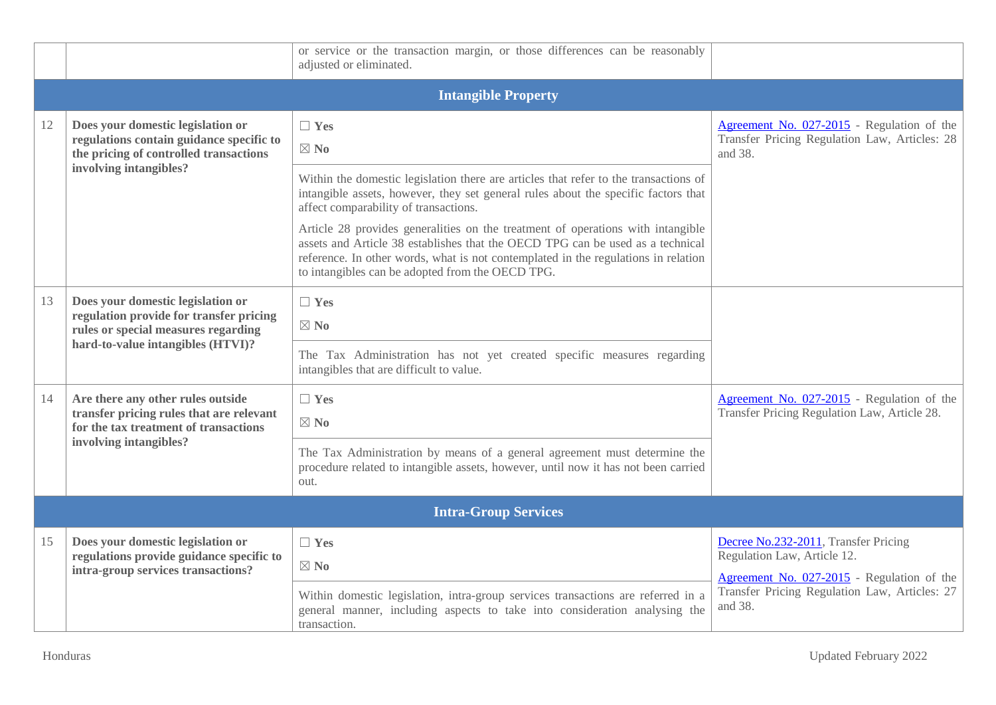|    |                                                                                                                                                          | or service or the transaction margin, or those differences can be reasonably<br>adjusted or eliminated.                                                                                                                                                                                                                                                                                                                                                                                                                                                            |                                                                                                                                                                               |  |  |  |
|----|----------------------------------------------------------------------------------------------------------------------------------------------------------|--------------------------------------------------------------------------------------------------------------------------------------------------------------------------------------------------------------------------------------------------------------------------------------------------------------------------------------------------------------------------------------------------------------------------------------------------------------------------------------------------------------------------------------------------------------------|-------------------------------------------------------------------------------------------------------------------------------------------------------------------------------|--|--|--|
|    | <b>Intangible Property</b>                                                                                                                               |                                                                                                                                                                                                                                                                                                                                                                                                                                                                                                                                                                    |                                                                                                                                                                               |  |  |  |
| 12 | Does your domestic legislation or<br>regulations contain guidance specific to<br>the pricing of controlled transactions<br>involving intangibles?        | $\Box$ Yes<br>$\boxtimes$ No<br>Within the domestic legislation there are articles that refer to the transactions of<br>intangible assets, however, they set general rules about the specific factors that<br>affect comparability of transactions.<br>Article 28 provides generalities on the treatment of operations with intangible<br>assets and Article 38 establishes that the OECD TPG can be used as a technical<br>reference. In other words, what is not contemplated in the regulations in relation<br>to intangibles can be adopted from the OECD TPG. | Agreement No. 027-2015 - Regulation of the<br>Transfer Pricing Regulation Law, Articles: 28<br>and 38.                                                                        |  |  |  |
| 13 | Does your domestic legislation or<br>regulation provide for transfer pricing<br>rules or special measures regarding<br>hard-to-value intangibles (HTVI)? | $\Box$ Yes<br>$\boxtimes$ No<br>The Tax Administration has not yet created specific measures regarding<br>intangibles that are difficult to value.                                                                                                                                                                                                                                                                                                                                                                                                                 |                                                                                                                                                                               |  |  |  |
| 14 | Are there any other rules outside<br>transfer pricing rules that are relevant<br>for the tax treatment of transactions<br>involving intangibles?         | $\Box$ Yes<br>$\boxtimes$ No<br>The Tax Administration by means of a general agreement must determine the<br>procedure related to intangible assets, however, until now it has not been carried<br>out.                                                                                                                                                                                                                                                                                                                                                            | Agreement No. 027-2015 - Regulation of the<br>Transfer Pricing Regulation Law, Article 28.                                                                                    |  |  |  |
|    | <b>Intra-Group Services</b>                                                                                                                              |                                                                                                                                                                                                                                                                                                                                                                                                                                                                                                                                                                    |                                                                                                                                                                               |  |  |  |
| 15 | Does your domestic legislation or<br>regulations provide guidance specific to<br>intra-group services transactions?                                      | $\Box$ Yes<br>$\boxtimes$ No<br>Within domestic legislation, intra-group services transactions are referred in a<br>general manner, including aspects to take into consideration analysing the<br>transaction.                                                                                                                                                                                                                                                                                                                                                     | Decree No.232-2011, Transfer Pricing<br>Regulation Law, Article 12.<br>Agreement No. 027-2015 - Regulation of the<br>Transfer Pricing Regulation Law, Articles: 27<br>and 38. |  |  |  |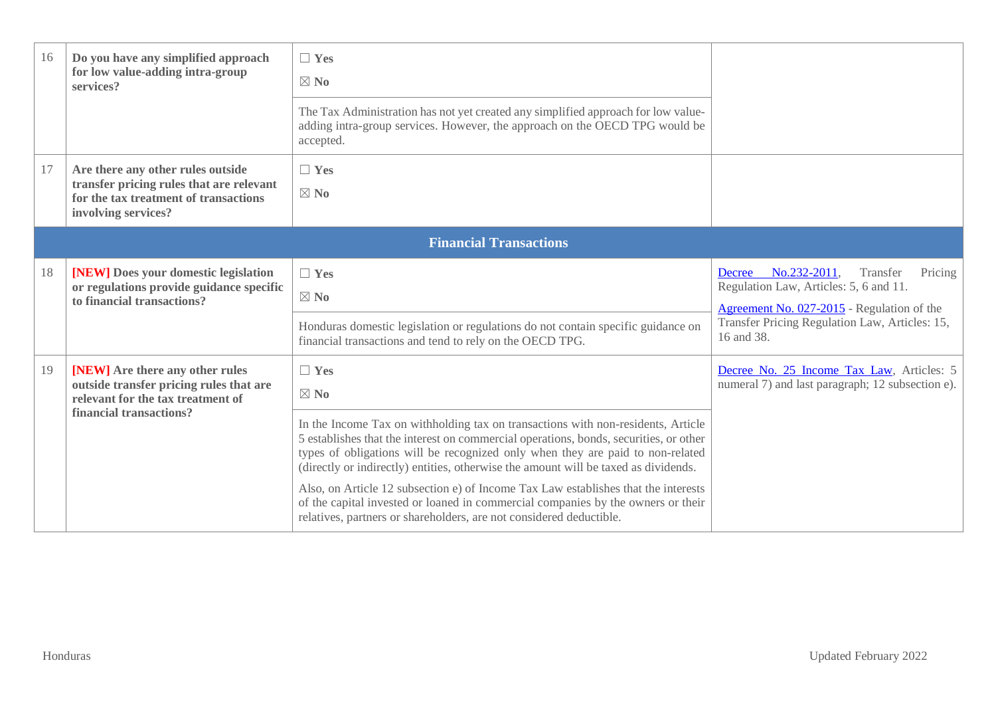| 16 | Do you have any simplified approach<br>for low value-adding intra-group<br>services?                                                          | $\Box$ Yes<br>$\boxtimes$ No<br>The Tax Administration has not yet created any simplified approach for low value-<br>adding intra-group services. However, the approach on the OECD TPG would be<br>accepted.                                                                                                                                                                                                                                                                                                                                                                                                                       |                                                                                                                                                                                                       |
|----|-----------------------------------------------------------------------------------------------------------------------------------------------|-------------------------------------------------------------------------------------------------------------------------------------------------------------------------------------------------------------------------------------------------------------------------------------------------------------------------------------------------------------------------------------------------------------------------------------------------------------------------------------------------------------------------------------------------------------------------------------------------------------------------------------|-------------------------------------------------------------------------------------------------------------------------------------------------------------------------------------------------------|
| 17 | Are there any other rules outside<br>transfer pricing rules that are relevant<br>for the tax treatment of transactions<br>involving services? | $\Box$ Yes<br>$\boxtimes$ No                                                                                                                                                                                                                                                                                                                                                                                                                                                                                                                                                                                                        |                                                                                                                                                                                                       |
|    |                                                                                                                                               | <b>Financial Transactions</b>                                                                                                                                                                                                                                                                                                                                                                                                                                                                                                                                                                                                       |                                                                                                                                                                                                       |
| 18 | [NEW] Does your domestic legislation<br>or regulations provide guidance specific<br>to financial transactions?                                | $\Box$ Yes<br>$\boxtimes$ No<br>Honduras domestic legislation or regulations do not contain specific guidance on<br>financial transactions and tend to rely on the OECD TPG.                                                                                                                                                                                                                                                                                                                                                                                                                                                        | No.232-2011,<br>Transfer<br>Pricing<br>Decree<br>Regulation Law, Articles: 5, 6 and 11.<br>Agreement No. 027-2015 - Regulation of the<br>Transfer Pricing Regulation Law, Articles: 15,<br>16 and 38. |
| 19 | [NEW] Are there any other rules<br>outside transfer pricing rules that are<br>relevant for the tax treatment of<br>financial transactions?    | $\Box$ Yes<br>$\boxtimes$ No<br>In the Income Tax on withholding tax on transactions with non-residents, Article<br>5 establishes that the interest on commercial operations, bonds, securities, or other<br>types of obligations will be recognized only when they are paid to non-related<br>(directly or indirectly) entities, otherwise the amount will be taxed as dividends.<br>Also, on Article 12 subsection e) of Income Tax Law establishes that the interests<br>of the capital invested or loaned in commercial companies by the owners or their<br>relatives, partners or shareholders, are not considered deductible. | Decree No. 25 Income Tax Law, Articles: 5<br>numeral 7) and last paragraph; 12 subsection e).                                                                                                         |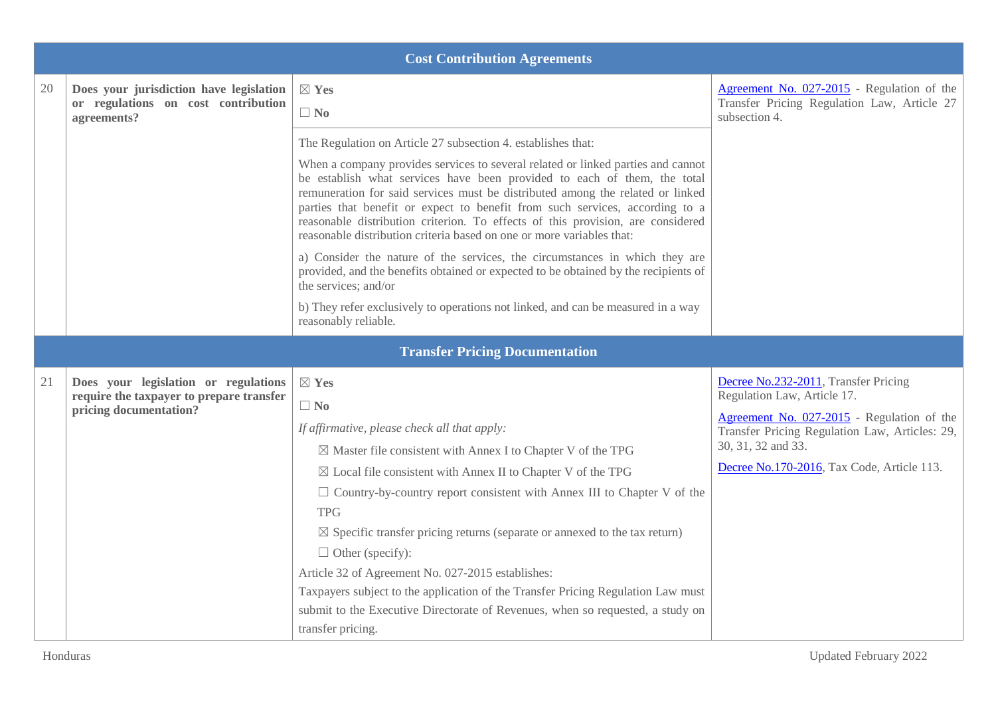|    |                                                                                | <b>Cost Contribution Agreements</b>                                                                                                                                                                                                                                                                                                                                                                                                                                                        |                                                                                              |
|----|--------------------------------------------------------------------------------|--------------------------------------------------------------------------------------------------------------------------------------------------------------------------------------------------------------------------------------------------------------------------------------------------------------------------------------------------------------------------------------------------------------------------------------------------------------------------------------------|----------------------------------------------------------------------------------------------|
| 20 | Does your jurisdiction have legislation<br>or regulations on cost contribution | $\boxtimes$ Yes                                                                                                                                                                                                                                                                                                                                                                                                                                                                            | Agreement No. 027-2015 - Regulation of the<br>Transfer Pricing Regulation Law, Article 27    |
|    | agreements?                                                                    | $\Box$ No                                                                                                                                                                                                                                                                                                                                                                                                                                                                                  | subsection 4.                                                                                |
|    |                                                                                | The Regulation on Article 27 subsection 4. establishes that:                                                                                                                                                                                                                                                                                                                                                                                                                               |                                                                                              |
|    |                                                                                | When a company provides services to several related or linked parties and cannot<br>be establish what services have been provided to each of them, the total<br>remuneration for said services must be distributed among the related or linked<br>parties that benefit or expect to benefit from such services, according to a<br>reasonable distribution criterion. To effects of this provision, are considered<br>reasonable distribution criteria based on one or more variables that: |                                                                                              |
|    |                                                                                | a) Consider the nature of the services, the circumstances in which they are<br>provided, and the benefits obtained or expected to be obtained by the recipients of<br>the services; and/or                                                                                                                                                                                                                                                                                                 |                                                                                              |
|    |                                                                                | b) They refer exclusively to operations not linked, and can be measured in a way<br>reasonably reliable.                                                                                                                                                                                                                                                                                                                                                                                   |                                                                                              |
|    |                                                                                | <b>Transfer Pricing Documentation</b>                                                                                                                                                                                                                                                                                                                                                                                                                                                      |                                                                                              |
| 21 | Does your legislation or regulations                                           | $\boxtimes$ Yes                                                                                                                                                                                                                                                                                                                                                                                                                                                                            | Decree No.232-2011, Transfer Pricing                                                         |
|    | require the taxpayer to prepare transfer<br>pricing documentation?             | $\Box$ No                                                                                                                                                                                                                                                                                                                                                                                                                                                                                  | Regulation Law, Article 17.                                                                  |
|    |                                                                                | If affirmative, please check all that apply:                                                                                                                                                                                                                                                                                                                                                                                                                                               | Agreement No. 027-2015 - Regulation of the<br>Transfer Pricing Regulation Law, Articles: 29, |
|    |                                                                                | $\boxtimes$ Master file consistent with Annex I to Chapter V of the TPG                                                                                                                                                                                                                                                                                                                                                                                                                    | 30, 31, 32 and 33.                                                                           |
|    |                                                                                | $\boxtimes$ Local file consistent with Annex II to Chapter V of the TPG                                                                                                                                                                                                                                                                                                                                                                                                                    | Decree No.170-2016, Tax Code, Article 113.                                                   |
|    |                                                                                | $\Box$ Country-by-country report consistent with Annex III to Chapter V of the                                                                                                                                                                                                                                                                                                                                                                                                             |                                                                                              |
|    |                                                                                | <b>TPG</b>                                                                                                                                                                                                                                                                                                                                                                                                                                                                                 |                                                                                              |
|    |                                                                                | $\boxtimes$ Specific transfer pricing returns (separate or annexed to the tax return)                                                                                                                                                                                                                                                                                                                                                                                                      |                                                                                              |
|    |                                                                                | $\Box$ Other (specify):                                                                                                                                                                                                                                                                                                                                                                                                                                                                    |                                                                                              |
|    |                                                                                | Article 32 of Agreement No. 027-2015 establishes:                                                                                                                                                                                                                                                                                                                                                                                                                                          |                                                                                              |
|    |                                                                                | Taxpayers subject to the application of the Transfer Pricing Regulation Law must                                                                                                                                                                                                                                                                                                                                                                                                           |                                                                                              |
|    |                                                                                | submit to the Executive Directorate of Revenues, when so requested, a study on                                                                                                                                                                                                                                                                                                                                                                                                             |                                                                                              |
|    |                                                                                | transfer pricing.                                                                                                                                                                                                                                                                                                                                                                                                                                                                          |                                                                                              |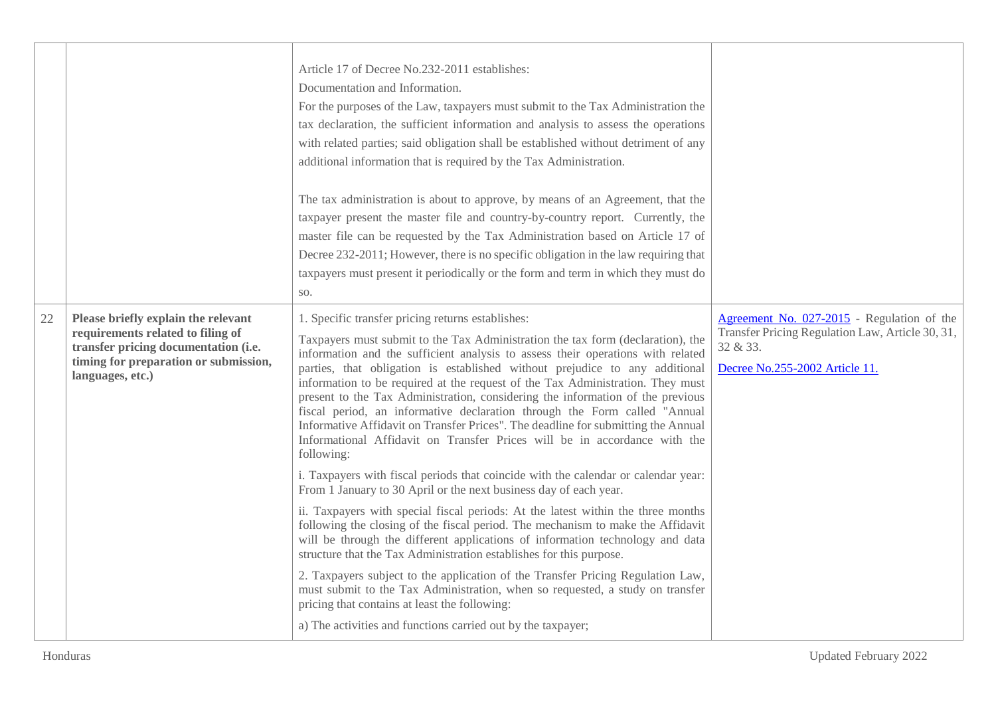|    |                                                                                                                                                                               | Article 17 of Decree No.232-2011 establishes:<br>Documentation and Information.<br>For the purposes of the Law, taxpayers must submit to the Tax Administration the<br>tax declaration, the sufficient information and analysis to assess the operations<br>with related parties; said obligation shall be established without detriment of any<br>additional information that is required by the Tax Administration.<br>The tax administration is about to approve, by means of an Agreement, that the<br>taxpayer present the master file and country-by-country report. Currently, the<br>master file can be requested by the Tax Administration based on Article 17 of<br>Decree 232-2011; However, there is no specific obligation in the law requiring that<br>taxpayers must present it periodically or the form and term in which they must do<br>SO.                                                                                                                                                                                                                                                                                                                                                                                                                                                                                                                                                                                                                                                          |                                                                                                                                              |
|----|-------------------------------------------------------------------------------------------------------------------------------------------------------------------------------|------------------------------------------------------------------------------------------------------------------------------------------------------------------------------------------------------------------------------------------------------------------------------------------------------------------------------------------------------------------------------------------------------------------------------------------------------------------------------------------------------------------------------------------------------------------------------------------------------------------------------------------------------------------------------------------------------------------------------------------------------------------------------------------------------------------------------------------------------------------------------------------------------------------------------------------------------------------------------------------------------------------------------------------------------------------------------------------------------------------------------------------------------------------------------------------------------------------------------------------------------------------------------------------------------------------------------------------------------------------------------------------------------------------------------------------------------------------------------------------------------------------------|----------------------------------------------------------------------------------------------------------------------------------------------|
| 22 | Please briefly explain the relevant<br>requirements related to filing of<br>transfer pricing documentation (i.e.<br>timing for preparation or submission,<br>languages, etc.) | 1. Specific transfer pricing returns establishes:<br>Taxpayers must submit to the Tax Administration the tax form (declaration), the<br>information and the sufficient analysis to assess their operations with related<br>parties, that obligation is established without prejudice to any additional<br>information to be required at the request of the Tax Administration. They must<br>present to the Tax Administration, considering the information of the previous<br>fiscal period, an informative declaration through the Form called "Annual<br>Informative Affidavit on Transfer Prices". The deadline for submitting the Annual<br>Informational Affidavit on Transfer Prices will be in accordance with the<br>following:<br>i. Taxpayers with fiscal periods that coincide with the calendar or calendar year:<br>From 1 January to 30 April or the next business day of each year.<br>ii. Taxpayers with special fiscal periods: At the latest within the three months<br>following the closing of the fiscal period. The mechanism to make the Affidavit<br>will be through the different applications of information technology and data<br>structure that the Tax Administration establishes for this purpose.<br>2. Taxpayers subject to the application of the Transfer Pricing Regulation Law,<br>must submit to the Tax Administration, when so requested, a study on transfer<br>pricing that contains at least the following:<br>a) The activities and functions carried out by the taxpayer; | Agreement No. 027-2015 - Regulation of the<br>Transfer Pricing Regulation Law, Article 30, 31,<br>32 & 33.<br>Decree No.255-2002 Article 11. |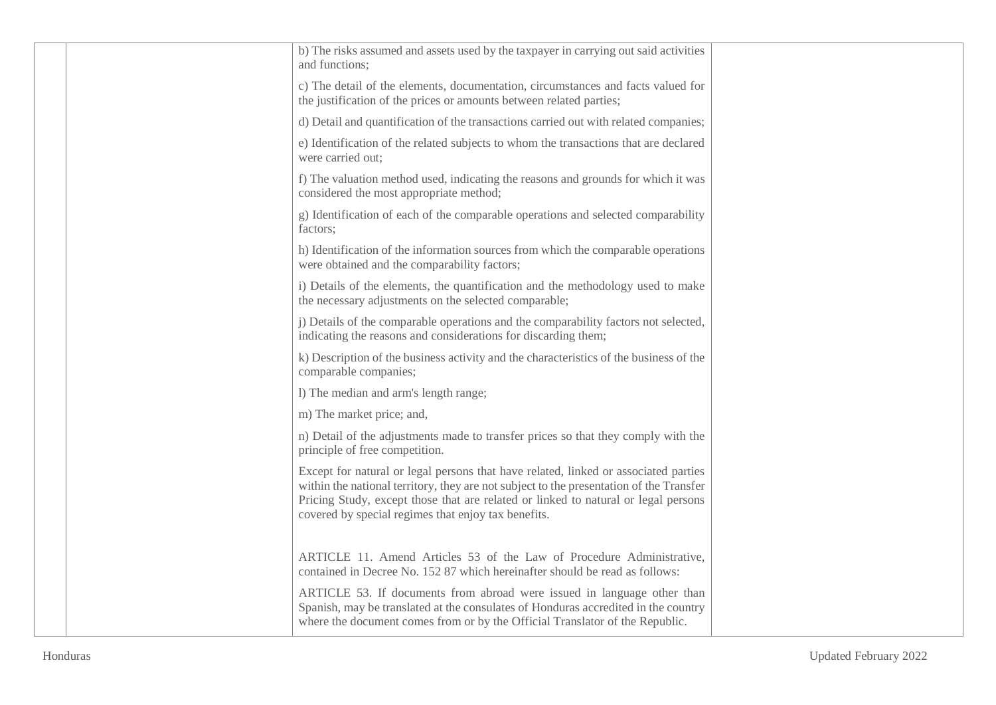|  | b) The risks assumed and assets used by the taxpayer in carrying out said activities<br>and functions;                                                                                                                                                                                                                      |  |
|--|-----------------------------------------------------------------------------------------------------------------------------------------------------------------------------------------------------------------------------------------------------------------------------------------------------------------------------|--|
|  | c) The detail of the elements, documentation, circumstances and facts valued for<br>the justification of the prices or amounts between related parties;                                                                                                                                                                     |  |
|  | d) Detail and quantification of the transactions carried out with related companies;                                                                                                                                                                                                                                        |  |
|  | e) Identification of the related subjects to whom the transactions that are declared<br>were carried out;                                                                                                                                                                                                                   |  |
|  | f) The valuation method used, indicating the reasons and grounds for which it was<br>considered the most appropriate method;                                                                                                                                                                                                |  |
|  | g) Identification of each of the comparable operations and selected comparability<br>factors;                                                                                                                                                                                                                               |  |
|  | h) Identification of the information sources from which the comparable operations<br>were obtained and the comparability factors;                                                                                                                                                                                           |  |
|  | i) Details of the elements, the quantification and the methodology used to make<br>the necessary adjustments on the selected comparable;                                                                                                                                                                                    |  |
|  | j) Details of the comparable operations and the comparability factors not selected,<br>indicating the reasons and considerations for discarding them;                                                                                                                                                                       |  |
|  | k) Description of the business activity and the characteristics of the business of the<br>comparable companies;                                                                                                                                                                                                             |  |
|  | 1) The median and arm's length range;                                                                                                                                                                                                                                                                                       |  |
|  | m) The market price; and,                                                                                                                                                                                                                                                                                                   |  |
|  | n) Detail of the adjustments made to transfer prices so that they comply with the<br>principle of free competition.                                                                                                                                                                                                         |  |
|  | Except for natural or legal persons that have related, linked or associated parties<br>within the national territory, they are not subject to the presentation of the Transfer<br>Pricing Study, except those that are related or linked to natural or legal persons<br>covered by special regimes that enjoy tax benefits. |  |
|  | ARTICLE 11. Amend Articles 53 of the Law of Procedure Administrative,<br>contained in Decree No. 152 87 which hereinafter should be read as follows:                                                                                                                                                                        |  |
|  | ARTICLE 53. If documents from abroad were issued in language other than<br>Spanish, may be translated at the consulates of Honduras accredited in the country<br>where the document comes from or by the Official Translator of the Republic.                                                                               |  |
|  |                                                                                                                                                                                                                                                                                                                             |  |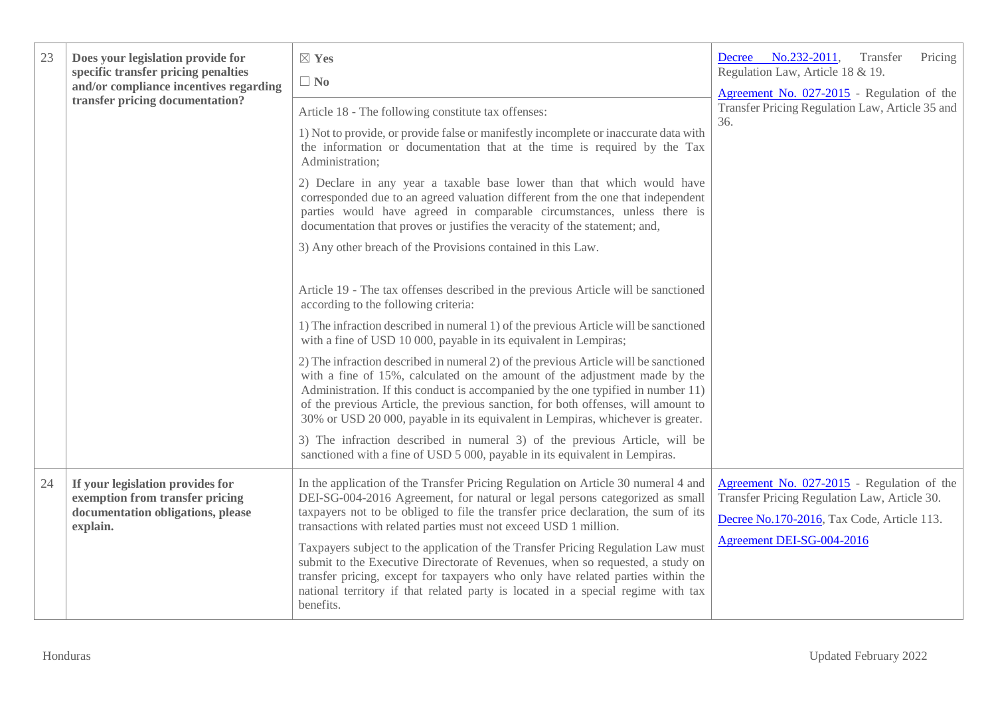| 23 | Does your legislation provide for<br>specific transfer pricing penalties<br>and/or compliance incentives regarding<br>transfer pricing documentation? | $\boxtimes$ Yes<br>$\Box$ No<br>Article 18 - The following constitute tax offenses:<br>1) Not to provide, or provide false or manifestly incomplete or inaccurate data with<br>the information or documentation that at the time is required by the Tax<br>Administration;<br>2) Declare in any year a taxable base lower than that which would have<br>corresponded due to an agreed valuation different from the one that independent<br>parties would have agreed in comparable circumstances, unless there is<br>documentation that proves or justifies the veracity of the statement; and,                                                                                                                                                                                                                                                                                                                                                        | Decree No.232-2011,<br>Transfer<br>Pricing<br>Regulation Law, Article 18 & 19.<br>Agreement No. 027-2015 - Regulation of the<br>Transfer Pricing Regulation Law, Article 35 and<br>36. |
|----|-------------------------------------------------------------------------------------------------------------------------------------------------------|--------------------------------------------------------------------------------------------------------------------------------------------------------------------------------------------------------------------------------------------------------------------------------------------------------------------------------------------------------------------------------------------------------------------------------------------------------------------------------------------------------------------------------------------------------------------------------------------------------------------------------------------------------------------------------------------------------------------------------------------------------------------------------------------------------------------------------------------------------------------------------------------------------------------------------------------------------|----------------------------------------------------------------------------------------------------------------------------------------------------------------------------------------|
|    |                                                                                                                                                       | 3) Any other breach of the Provisions contained in this Law.<br>Article 19 - The tax offenses described in the previous Article will be sanctioned<br>according to the following criteria:<br>1) The infraction described in numeral 1) of the previous Article will be sanctioned<br>with a fine of USD 10 000, payable in its equivalent in Lempiras;<br>2) The infraction described in numeral 2) of the previous Article will be sanctioned<br>with a fine of 15%, calculated on the amount of the adjustment made by the<br>Administration. If this conduct is accompanied by the one typified in number 11)<br>of the previous Article, the previous sanction, for both offenses, will amount to<br>30% or USD 20 000, payable in its equivalent in Lempiras, whichever is greater.<br>3) The infraction described in numeral 3) of the previous Article, will be<br>sanctioned with a fine of USD 5 000, payable in its equivalent in Lempiras. |                                                                                                                                                                                        |
| 24 | If your legislation provides for<br>exemption from transfer pricing<br>documentation obligations, please<br>explain.                                  | In the application of the Transfer Pricing Regulation on Article 30 numeral 4 and<br>DEI-SG-004-2016 Agreement, for natural or legal persons categorized as small<br>taxpayers not to be obliged to file the transfer price declaration, the sum of its<br>transactions with related parties must not exceed USD 1 million.<br>Taxpayers subject to the application of the Transfer Pricing Regulation Law must<br>submit to the Executive Directorate of Revenues, when so requested, a study on<br>transfer pricing, except for taxpayers who only have related parties within the<br>national territory if that related party is located in a special regime with tax<br>benefits.                                                                                                                                                                                                                                                                  | Agreement No. 027-2015 - Regulation of the<br>Transfer Pricing Regulation Law, Article 30.<br>Decree No.170-2016, Tax Code, Article 113.<br>Agreement DEI-SG-004-2016                  |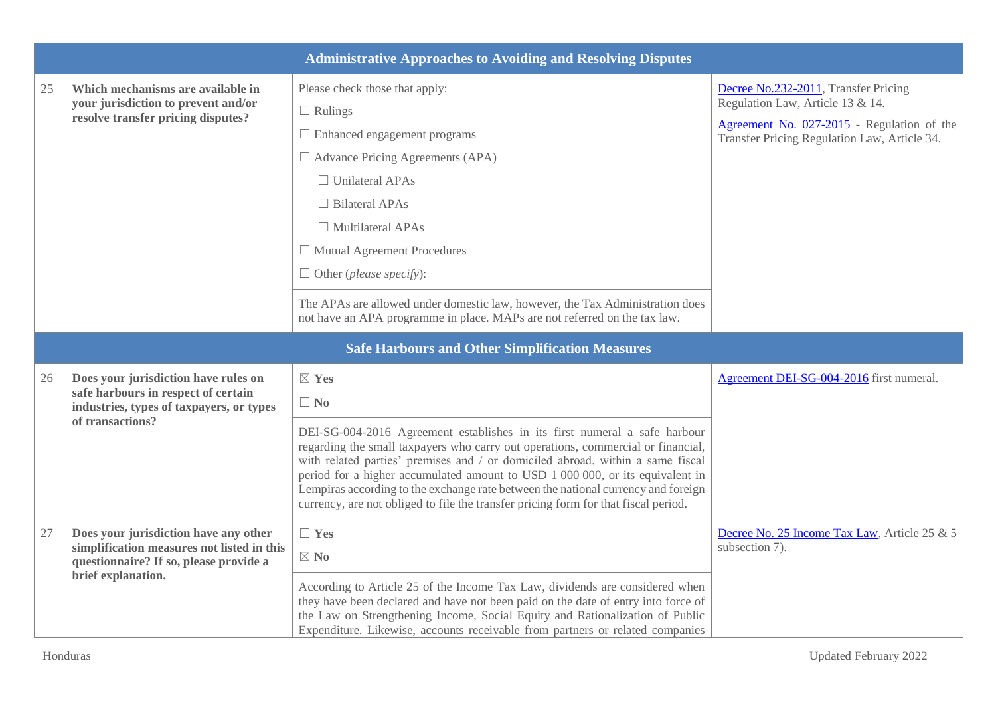|    |                                                                                                                               | <b>Administrative Approaches to Avoiding and Resolving Disputes</b>                                                                                                                                                                                                                                                                                                                                                                                                                                          |                                                                                            |
|----|-------------------------------------------------------------------------------------------------------------------------------|--------------------------------------------------------------------------------------------------------------------------------------------------------------------------------------------------------------------------------------------------------------------------------------------------------------------------------------------------------------------------------------------------------------------------------------------------------------------------------------------------------------|--------------------------------------------------------------------------------------------|
| 25 | Which mechanisms are available in<br>your jurisdiction to prevent and/or                                                      | Please check those that apply:<br>$\Box$ Rulings                                                                                                                                                                                                                                                                                                                                                                                                                                                             | Decree No.232-2011, Transfer Pricing<br>Regulation Law, Article 13 & 14.                   |
|    | resolve transfer pricing disputes?                                                                                            | $\Box$ Enhanced engagement programs                                                                                                                                                                                                                                                                                                                                                                                                                                                                          | Agreement No. 027-2015 - Regulation of the<br>Transfer Pricing Regulation Law, Article 34. |
|    |                                                                                                                               | $\Box$ Advance Pricing Agreements (APA)                                                                                                                                                                                                                                                                                                                                                                                                                                                                      |                                                                                            |
|    |                                                                                                                               | $\Box$ Unilateral APAs                                                                                                                                                                                                                                                                                                                                                                                                                                                                                       |                                                                                            |
|    |                                                                                                                               | $\Box$ Bilateral APAs                                                                                                                                                                                                                                                                                                                                                                                                                                                                                        |                                                                                            |
|    |                                                                                                                               | $\Box$ Multilateral APAs                                                                                                                                                                                                                                                                                                                                                                                                                                                                                     |                                                                                            |
|    |                                                                                                                               | $\Box$ Mutual Agreement Procedures                                                                                                                                                                                                                                                                                                                                                                                                                                                                           |                                                                                            |
|    |                                                                                                                               | $\Box$ Other ( <i>please specify</i> ):                                                                                                                                                                                                                                                                                                                                                                                                                                                                      |                                                                                            |
|    |                                                                                                                               | The APAs are allowed under domestic law, however, the Tax Administration does<br>not have an APA programme in place. MAPs are not referred on the tax law.                                                                                                                                                                                                                                                                                                                                                   |                                                                                            |
|    |                                                                                                                               | <b>Safe Harbours and Other Simplification Measures</b>                                                                                                                                                                                                                                                                                                                                                                                                                                                       |                                                                                            |
| 26 | Does your jurisdiction have rules on<br>safe harbours in respect of certain<br>industries, types of taxpayers, or types       | $\boxtimes$ Yes<br>$\Box$ No                                                                                                                                                                                                                                                                                                                                                                                                                                                                                 | Agreement DEI-SG-004-2016 first numeral.                                                   |
|    | of transactions?                                                                                                              | DEI-SG-004-2016 Agreement establishes in its first numeral a safe harbour<br>regarding the small taxpayers who carry out operations, commercial or financial,<br>with related parties' premises and / or domiciled abroad, within a same fiscal<br>period for a higher accumulated amount to USD 1 000 000, or its equivalent in<br>Lempiras according to the exchange rate between the national currency and foreign<br>currency, are not obliged to file the transfer pricing form for that fiscal period. |                                                                                            |
| 27 | Does your jurisdiction have any other<br>simplification measures not listed in this<br>questionnaire? If so, please provide a | $\Box$ Yes<br>$\boxtimes$ No                                                                                                                                                                                                                                                                                                                                                                                                                                                                                 | Decree No. 25 Income Tax Law, Article 25 & 5<br>subsection 7).                             |
|    | brief explanation.                                                                                                            | According to Article 25 of the Income Tax Law, dividends are considered when<br>they have been declared and have not been paid on the date of entry into force of<br>the Law on Strengthening Income, Social Equity and Rationalization of Public<br>Expenditure. Likewise, accounts receivable from partners or related companies                                                                                                                                                                           |                                                                                            |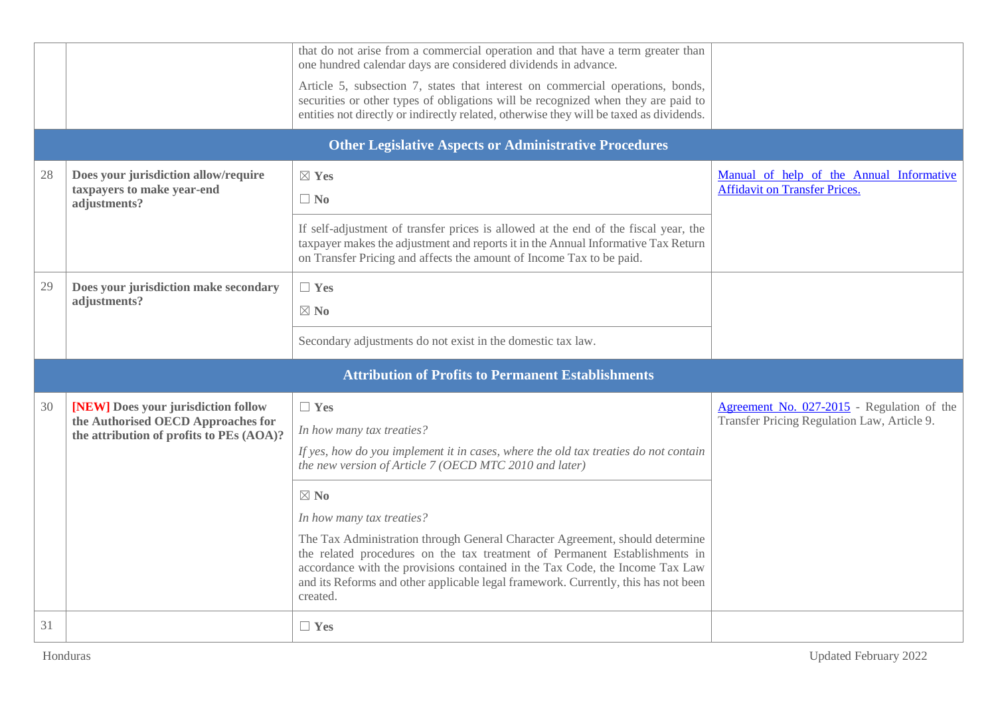| <b>Other Legislative Aspects or Administrative Procedures</b><br>Manual of help of the Annual Informative<br>28<br>Does your jurisdiction allow/require<br>$\boxtimes$ Yes<br><b>Affidavit on Transfer Prices.</b><br>taxpayers to make year-end<br>$\Box$ No<br>adjustments?<br>If self-adjustment of transfer prices is allowed at the end of the fiscal year, the<br>taxpayer makes the adjustment and reports it in the Annual Informative Tax Return                                                                                                                                                                                                                                                                                                                                               |  |  |  |  |
|---------------------------------------------------------------------------------------------------------------------------------------------------------------------------------------------------------------------------------------------------------------------------------------------------------------------------------------------------------------------------------------------------------------------------------------------------------------------------------------------------------------------------------------------------------------------------------------------------------------------------------------------------------------------------------------------------------------------------------------------------------------------------------------------------------|--|--|--|--|
|                                                                                                                                                                                                                                                                                                                                                                                                                                                                                                                                                                                                                                                                                                                                                                                                         |  |  |  |  |
|                                                                                                                                                                                                                                                                                                                                                                                                                                                                                                                                                                                                                                                                                                                                                                                                         |  |  |  |  |
| on Transfer Pricing and affects the amount of Income Tax to be paid.                                                                                                                                                                                                                                                                                                                                                                                                                                                                                                                                                                                                                                                                                                                                    |  |  |  |  |
| 29<br>Does your jurisdiction make secondary<br>$\Box$ Yes<br>adjustments?<br>$\boxtimes$ No                                                                                                                                                                                                                                                                                                                                                                                                                                                                                                                                                                                                                                                                                                             |  |  |  |  |
| Secondary adjustments do not exist in the domestic tax law.                                                                                                                                                                                                                                                                                                                                                                                                                                                                                                                                                                                                                                                                                                                                             |  |  |  |  |
| <b>Attribution of Profits to Permanent Establishments</b>                                                                                                                                                                                                                                                                                                                                                                                                                                                                                                                                                                                                                                                                                                                                               |  |  |  |  |
| [NEW] Does your jurisdiction follow<br>30<br>Agreement No. 027-2015 - Regulation of the<br>$\Box$ Yes<br>Transfer Pricing Regulation Law, Article 9.<br>the Authorised OECD Approaches for<br>In how many tax treaties?<br>the attribution of profits to PEs (AOA)?<br>If yes, how do you implement it in cases, where the old tax treaties do not contain<br>the new version of Article 7 (OECD MTC 2010 and later)<br>$\boxtimes$ No<br>In how many tax treaties?<br>The Tax Administration through General Character Agreement, should determine<br>the related procedures on the tax treatment of Permanent Establishments in<br>accordance with the provisions contained in the Tax Code, the Income Tax Law<br>and its Reforms and other applicable legal framework. Currently, this has not been |  |  |  |  |
| created.<br>31<br>$\Box$ Yes                                                                                                                                                                                                                                                                                                                                                                                                                                                                                                                                                                                                                                                                                                                                                                            |  |  |  |  |